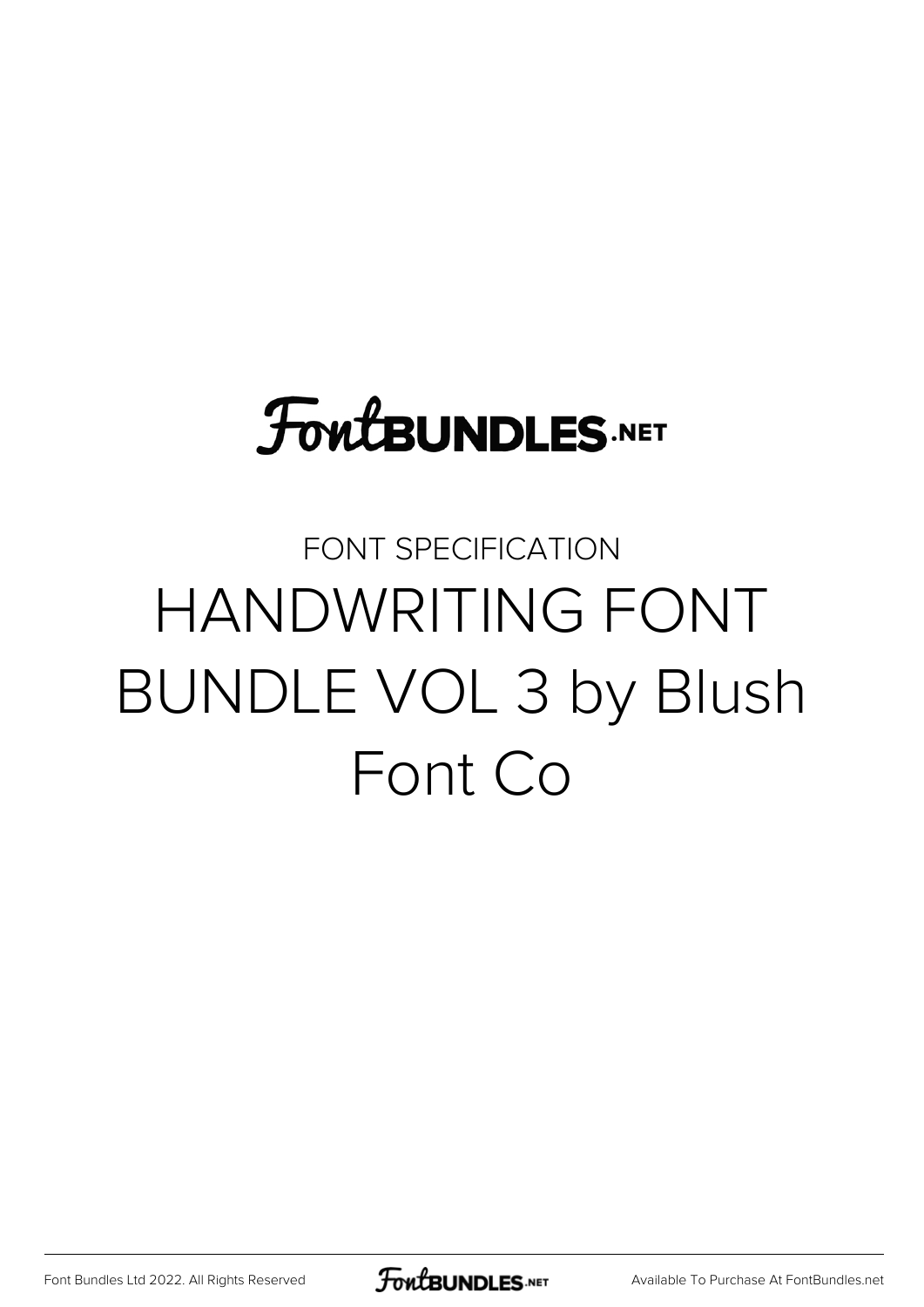## **FoutBUNDLES.NET**

## FONT SPECIFICATION HANDWRITING FONT BUNDLE VOL 3 by Blush Font Co

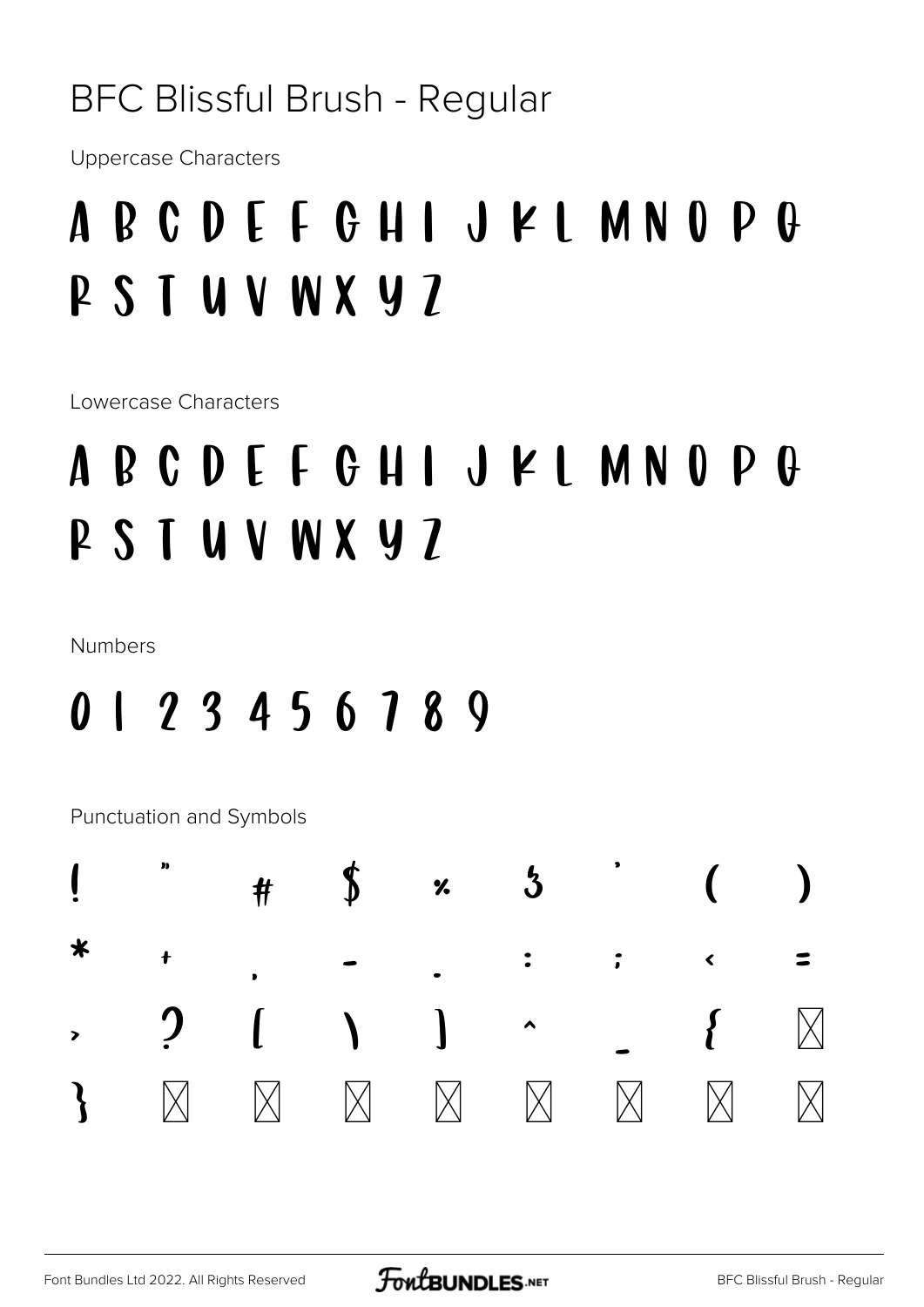#### **BFC Blissful Brush - Regular**

**Uppercase Characters** 

#### A B C D E F G H I J K L M N O P G PSIUVWXY7

Lowercase Characters

## A B C D E F G H I J K L M N O P G PSIUVWXY7

**Numbers** 

0123456789

Punctuation and Symbols

|  |  |  | $\frac{1}{1}$ # \$ x 3 ()        |  |
|--|--|--|----------------------------------|--|
|  |  |  | * + , - . : ; < =                |  |
|  |  |  |                                  |  |
|  |  |  | . ? ( ) ] .<br>} j ¢ £ ¤ \ i § " |  |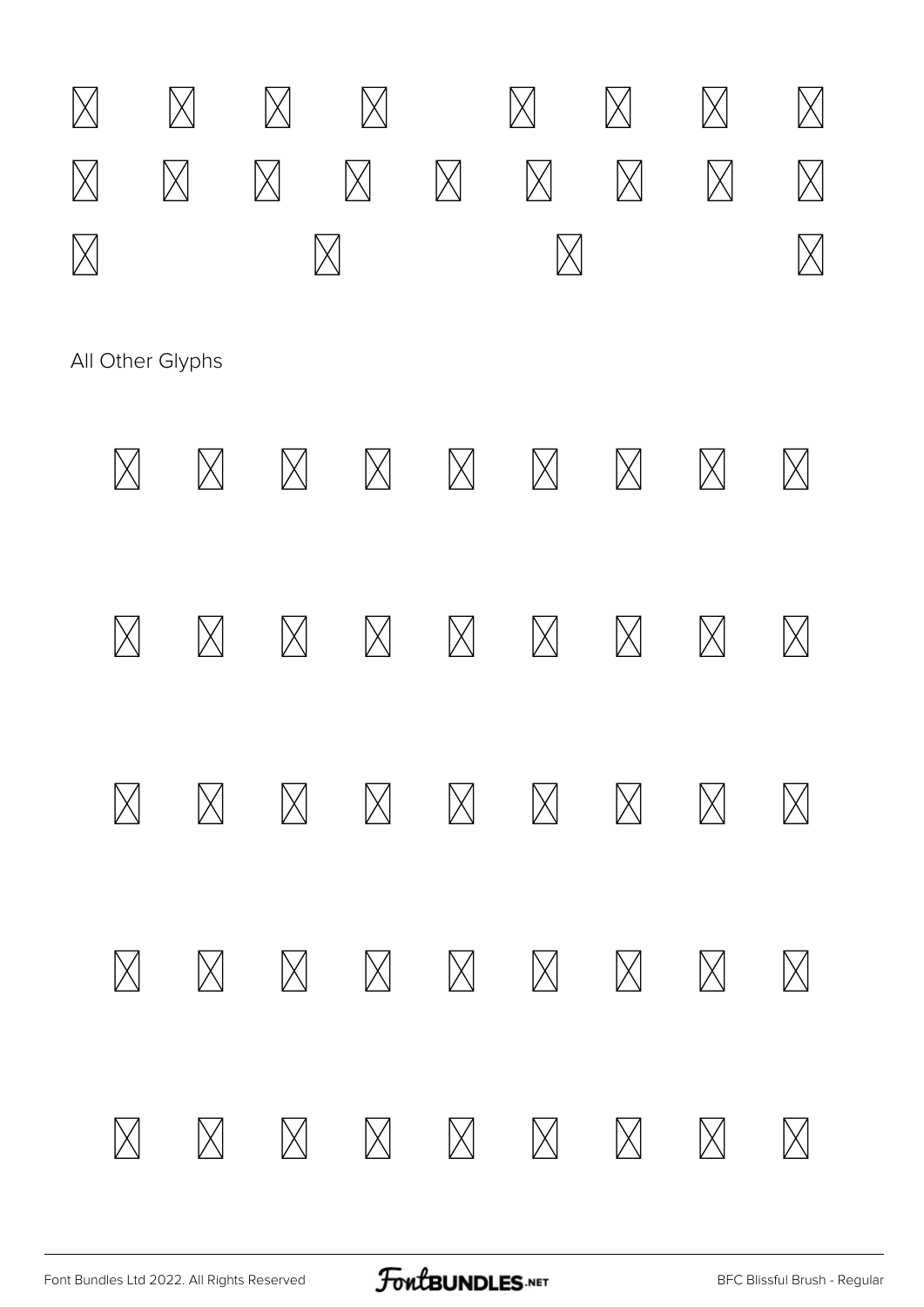

All Other Glyphs

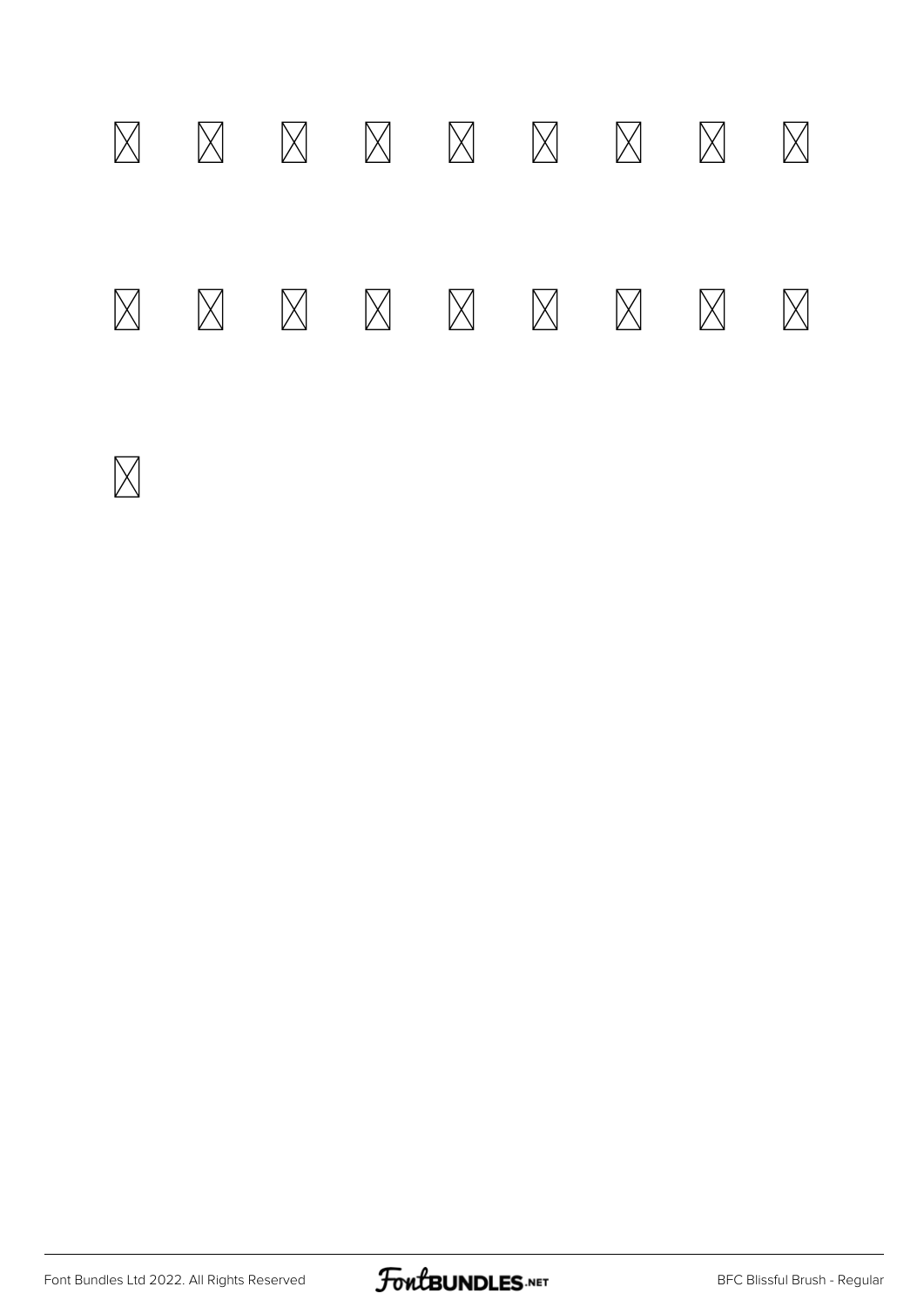# í î ï ð ñ ò ó ô õ ö ÷ ø ù ú û ü ý þ  $\boldsymbol{q}$

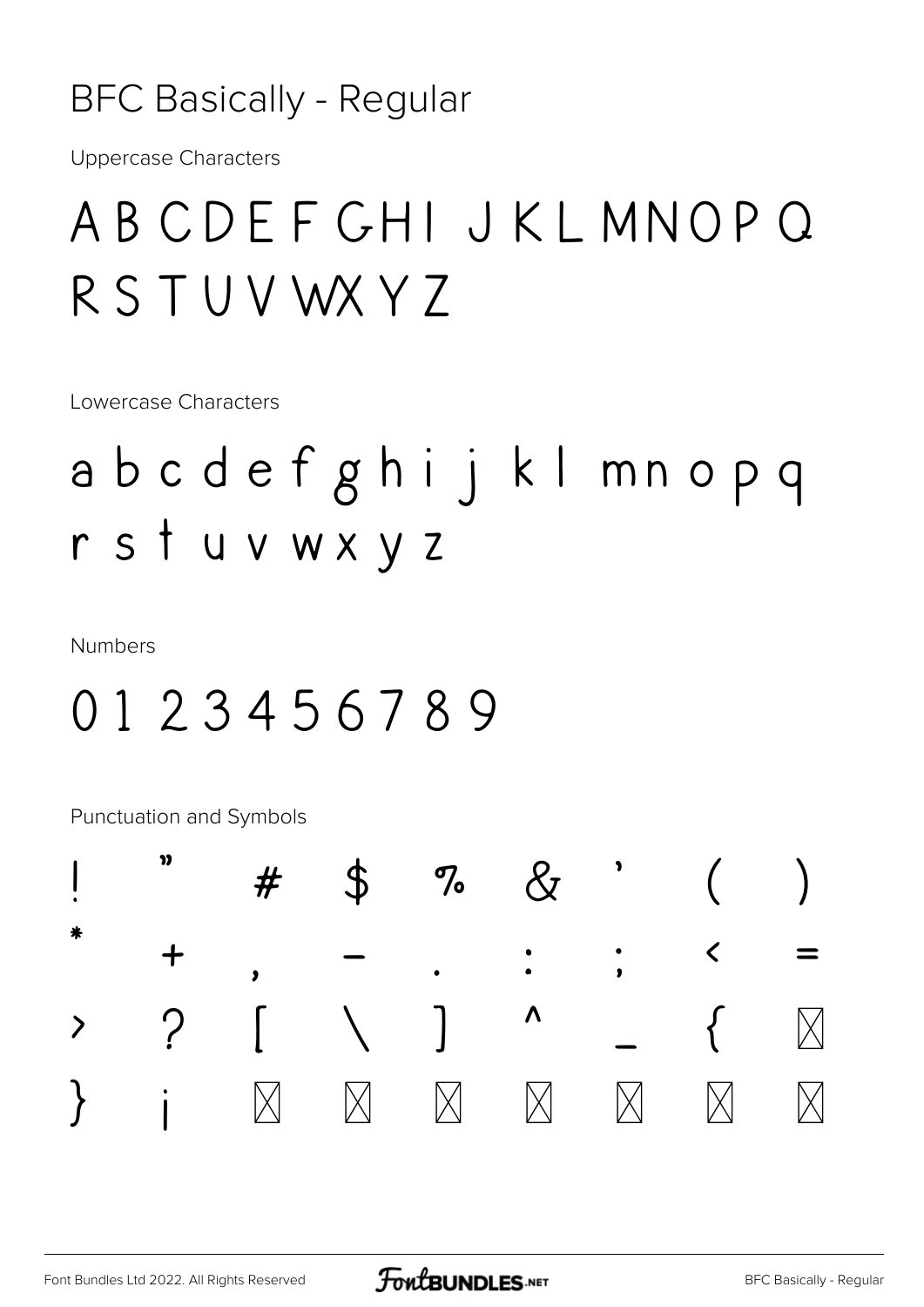#### **BFC Basically - Regular**

**Uppercase Characters** 

### ABCDEFCHI JKLMNOPQ RSTUVWXY7

Lowercase Characters

abcdefghijklmnopq rstuvwxyz

**Numbers** 

0123456789

Punctuation and Symbols

|  | $\begin{array}{ccccccccccccc} 1 & & 0 & & \# & & \updownarrow & & \mathfrak{D} & & \mathfrak{D} & & \mathfrak{D} & & \mathfrak{D} & & \mathfrak{D} & & \mathfrak{D} & & \mathfrak{D} & & \mathfrak{D} & & \mathfrak{D} & & \mathfrak{D} & & \mathfrak{D} & & \mathfrak{D} & & \mathfrak{D} & & \mathfrak{D} & & \mathfrak{D} & & \mathfrak{D} & & \mathfrak{D} & & \mathfrak{D} & & \mathfrak{D} & & \mathfrak{D} & & \mathfrak{D} & & \mathfr$                                                                                                                 |  |  |                                                            |  |
|--|-----------------------------------------------------------------------------------------------------------------------------------------------------------------------------------------------------------------------------------------------------------------------------------------------------------------------------------------------------------------------------------------------------------------------------------------------------------------------------------------------------------------------------------------------------------------|--|--|------------------------------------------------------------|--|
|  | $+$ , $-$ , $\vdots$ ; $\langle$ =                                                                                                                                                                                                                                                                                                                                                                                                                                                                                                                              |  |  |                                                            |  |
|  | $\begin{array}{ccccccccccccc} \times & & \text{?} & & \text{?} & & \text{ \end{array} \qquad \begin{array}{ccccccccccccc} & & & & & & \text{ \end{array} \qquad \begin{array}{ccccccccccccc} & & & & & & \text{ \end{array} \qquad \begin{array}{ccccccccccccc} & & & & & & \text{ \end{array} \qquad \begin{array}{ccccccccccccc} & & & & & & \text{ \end{array} \qquad \begin{array}{ccccccccccccc} & & & & & & \text{ \end{array} \qquad \begin{array}{ccccccccccccc} & & & & & & \text{ \end{array} \qquad \begin{array}{ccccccccccccc} & & & & & & \text{$ |  |  |                                                            |  |
|  |                                                                                                                                                                                                                                                                                                                                                                                                                                                                                                                                                                 |  |  | $\}$ j $\phi$ £ $\alpha$ \ $\frac{1}{3}$ ' $\frac{1}{3}$ " |  |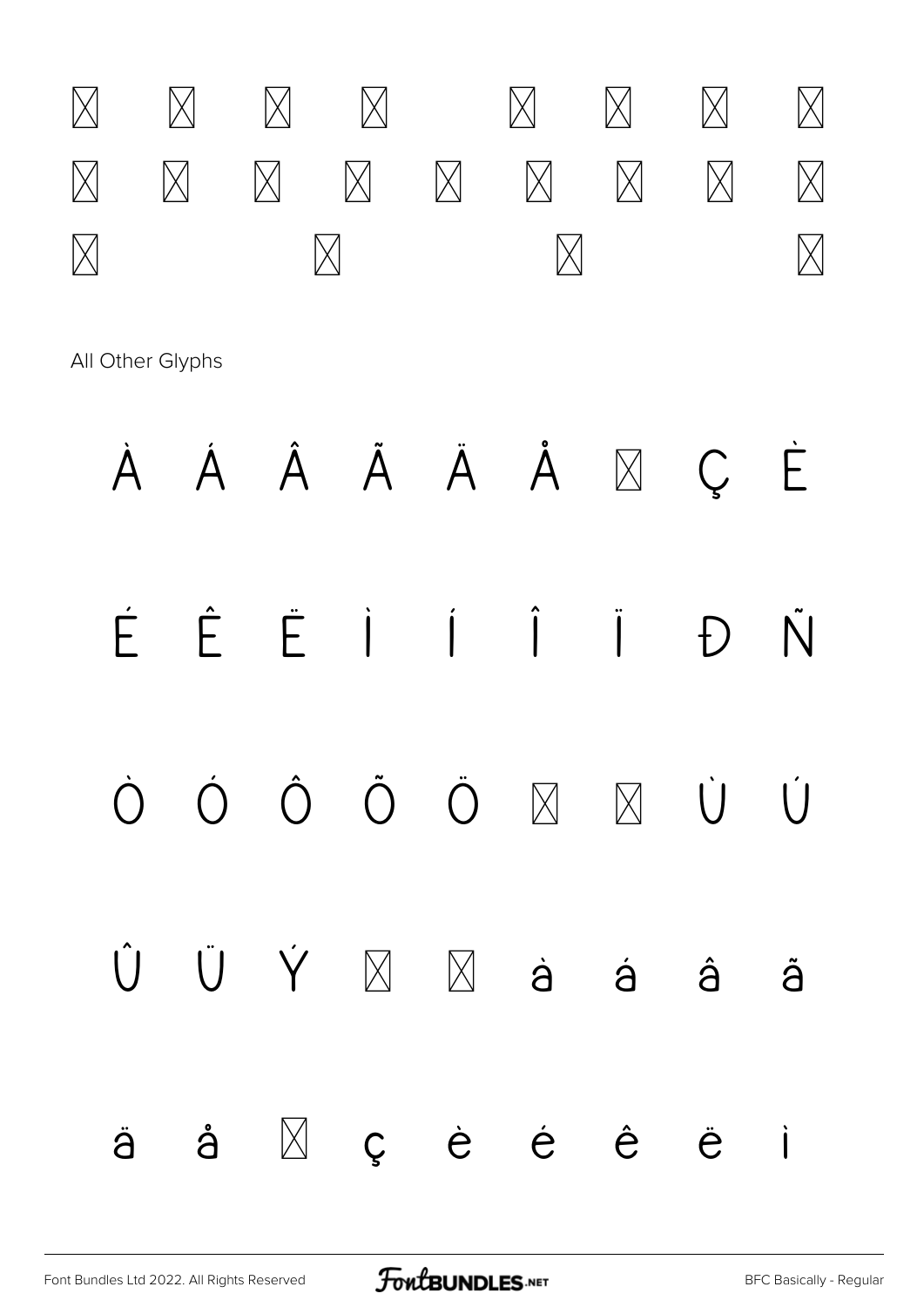

All Other Glyphs

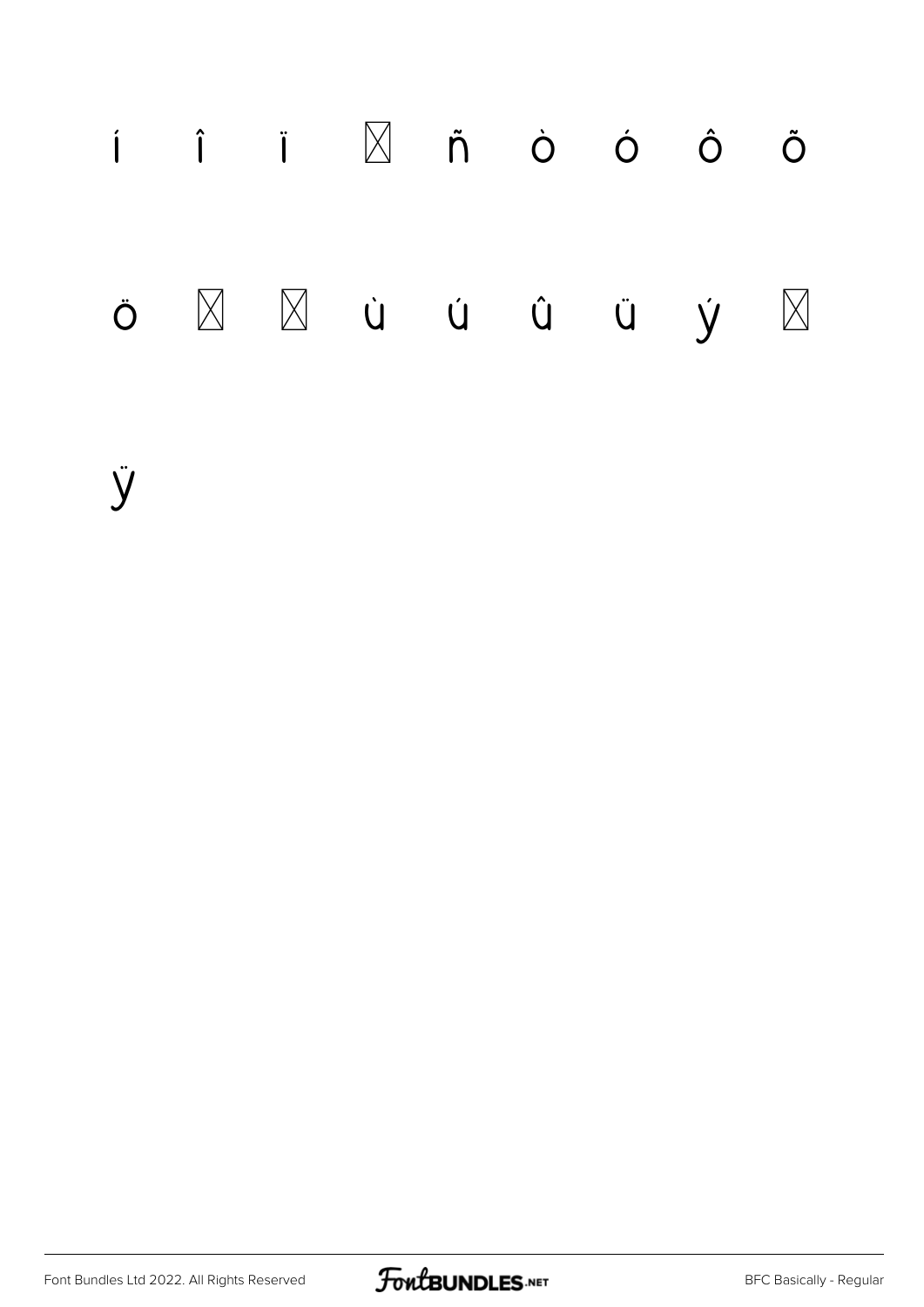# í î ï ð ñ ò ó ô õ ö ÷ ø ù ú û ü ý þ

ÿ

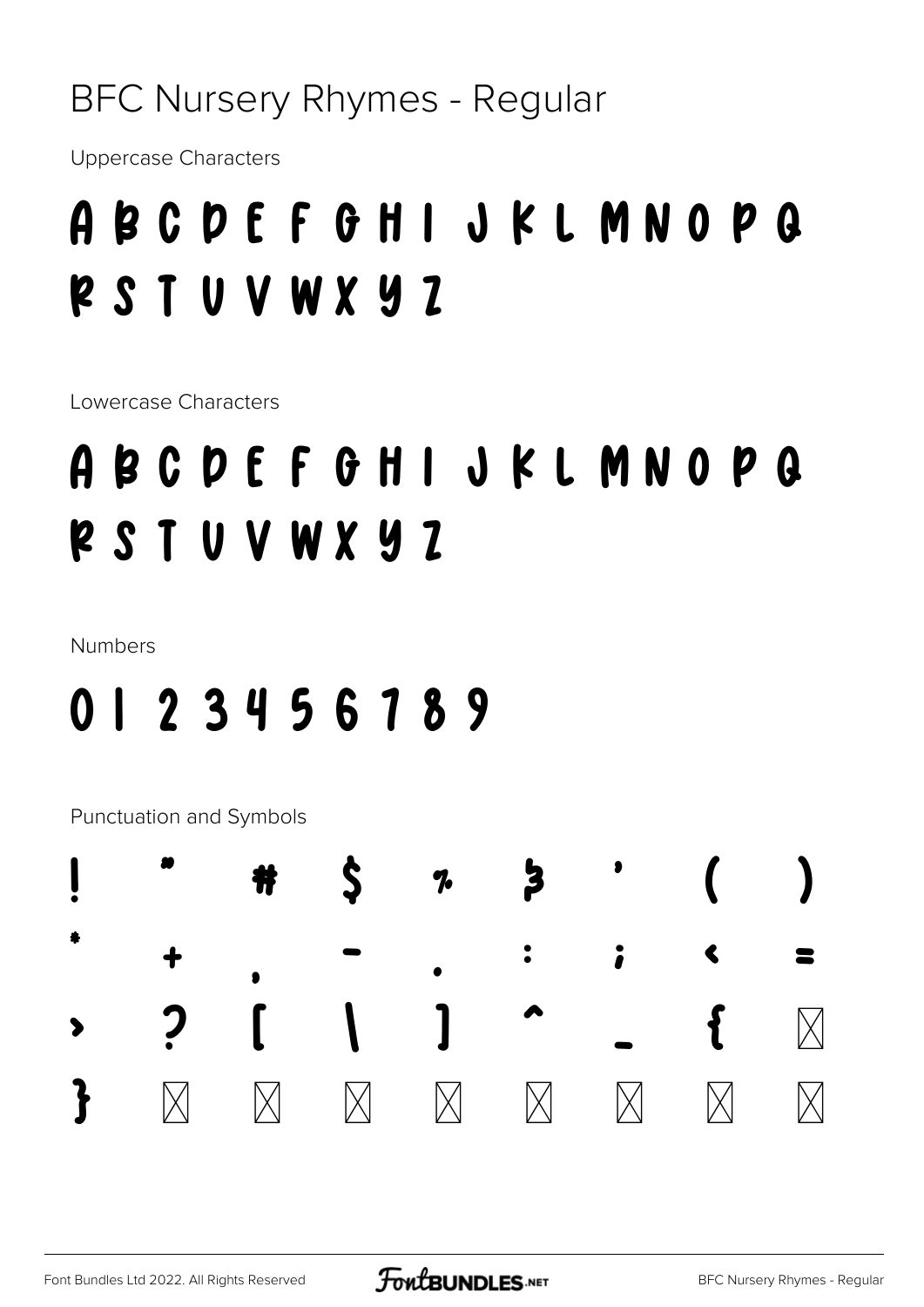#### **BFC Nursery Rhymes - Regular**

**Uppercase Characters** 

#### ABCDEFGHIJKLMNOPQ RSTUVWXYZ

Lowercase Characters

## ABCDEFGHIJKLMNOPQ **PSTUVWXYZ**

**Numbers** 

#### 0123456189

Punctuation and Symbols

|  |  |  | $3$ j $\phi$ £ $\alpha$ \ $\neq$ ' $\S$ " |  |
|--|--|--|-------------------------------------------|--|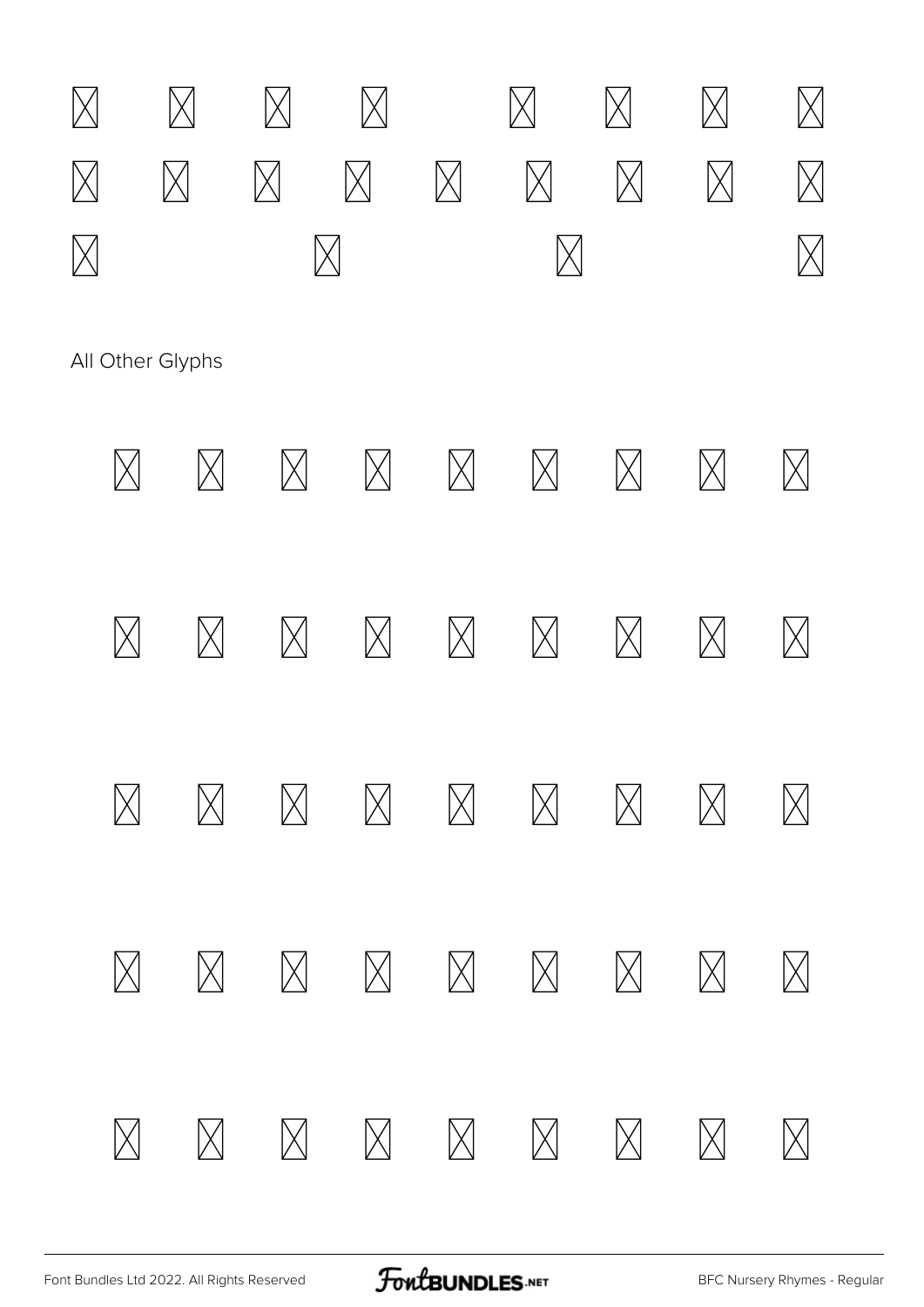

All Other Glyphs

|  | $A$ $A$ $A$ $A$ $A$ $A$ $E$ $C$ $E$                                                       |  |  |                       |
|--|-------------------------------------------------------------------------------------------|--|--|-----------------------|
|  | $E E E I I I I E N$                                                                       |  |  |                       |
|  | $\begin{array}{ccccccccccccccccccccc} 0 & 0 & 0 & 0 & 0 & \times & 0 & 0 & 0 \end{array}$ |  |  |                       |
|  | $U$ $U$ $Y$ $D$ $S$ $A$ $A$ $A$                                                           |  |  | $\boldsymbol{\theta}$ |
|  | A A æ C E E E I                                                                           |  |  |                       |